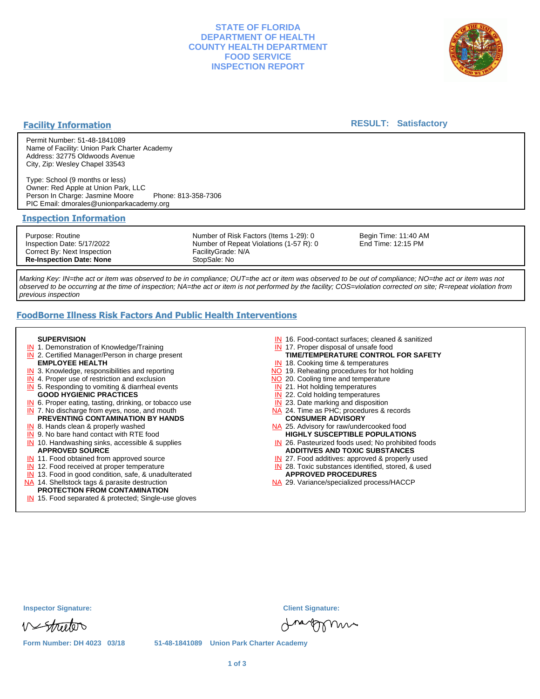## **STATE OF FLORIDA DEPARTMENT OF HEALTH COUNTY HEALTH DEPARTMENT FOOD SERVICE INSPECTION REPORT**



### **Facility Information**

### **RESULT: Satisfactory**

Permit Number: 51-48-1841089 Name of Facility: Union Park Charter Academy Address: 32775 Oldwoods Avenue City, Zip: Wesley Chapel 33543

Type: School (9 months or less) Owner: Red Apple at Union Park, LLC Person In Charge: Jasmine Moore Phone: 813-358-7306 PIC Email: dmorales@unionparkacademy.org

#### **Inspection Information**

Purpose: Routine Inspection Date: 5/17/2022 Correct By: Next Inspection **Re-Inspection Date: None**

Number of Risk Factors (Items 1-29): 0 Number of Repeat Violations (1-57 R): 0 FacilityGrade: N/A StopSale: No

Begin Time: 11:40 AM End Time: 12:15 PM

Marking Key: IN=the act or item was observed to be in compliance; OUT=the act or item was observed to be out of compliance; NO=the act or item was not observed to be occurring at the time of inspection; NA=the act or item is not performed by the facility; COS=violation corrected on site; R=repeat violation from previous inspection

# **FoodBorne Illness Risk Factors And Public Health Interventions**

#### **SUPERVISION**

- **IN** 1. Demonstration of Knowledge/Training
- **IN** 2. Certified Manager/Person in charge present **EMPLOYEE HEALTH**
- **IN** 3. Knowledge, responsibilities and reporting
- **IN** 4. Proper use of restriction and exclusion
- **IN** 5. Responding to vomiting & diarrheal events
- **GOOD HYGIENIC PRACTICES**
- **IN** 6. Proper eating, tasting, drinking, or tobacco use **IN** 7. No discharge from eyes, nose, and mouth
- **PREVENTING CONTAMINATION BY HANDS**
- IN 8. Hands clean & properly washed
- **IN** 9. No bare hand contact with RTE food IN 10. Handwashing sinks, accessible & supplies **APPROVED SOURCE**
- **IN** 11. Food obtained from approved source
- **IN** 12. Food received at proper temperature
- IN 13. Food in good condition, safe, & unadulterated
- NA 14. Shellstock tags & parasite destruction

# **PROTECTION FROM CONTAMINATION**

IN 15. Food separated & protected; Single-use gloves

- IN 16. Food-contact surfaces; cleaned & sanitized
- IN 17. Proper disposal of unsafe food
- IN 18. Cooking time & temperatures **TIME/TEMPERATURE CONTROL FOR SAFETY**
- NO 19. Reheating procedures for hot holding
- NO 20. Cooling time and temperature
- IN 21. Hot holding temperatures
- **IN** 22. Cold holding temperatures
- **IN** 23. Date marking and disposition
- NA 24. Time as PHC; procedures & records **CONSUMER ADVISORY**
- NA 25. Advisory for raw/undercooked food **HIGHLY SUSCEPTIBLE POPULATIONS**
- IN 26. Pasteurized foods used; No prohibited foods **ADDITIVES AND TOXIC SUBSTANCES**
- IN 27. Food additives: approved & properly used
- IN 28. Toxic substances identified, stored, & used **APPROVED PROCEDURES**
- NA 29. Variance/specialized process/HACCP

| <b>Inspector Signature:</b> |
|-----------------------------|
|-----------------------------|

Vestrutor

dragonni

**Inspector Signature: Client Signature:**

**Form Number: DH 4023 03/18 51-48-1841089 Union Park Charter Academy**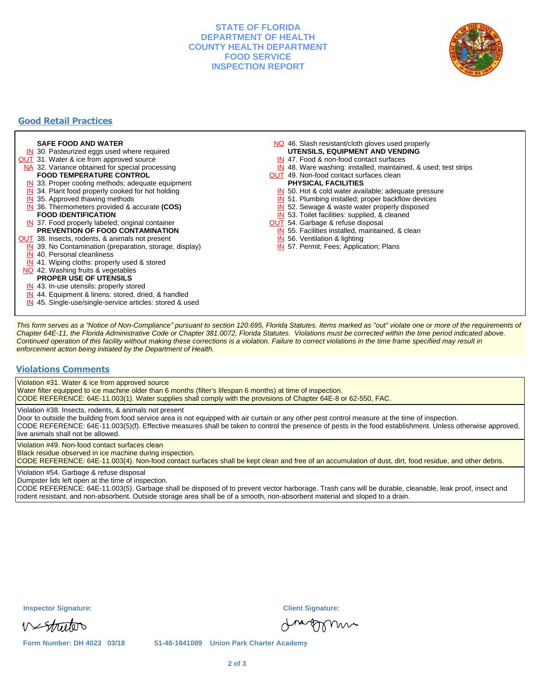### **STATE OF FLORIDA DEPARTMENT OF HEALTH COUNTY HEALTH DEPARTMENT FOOD SERVICE INSPECTION REPORT**



## **Good Retail Practices**

#### **SAFE FOOD AND WATER**

- **IN** 30. Pasteurized eggs used where required
- **OUT** 31. Water & ice from approved source
- NA 32. Variance obtained for special processing
- **FOOD TEMPERATURE CONTROL**
- **IN** 33. Proper cooling methods; adequate equipment
- **IN** 34. Plant food properly cooked for hot holding
- **IN** 35. Approved thawing methods
- IN 36. Thermometers provided & accurate **(COS) FOOD IDENTIFICATION**
- IN 37. Food properly labeled; original container **PREVENTION OF FOOD CONTAMINATION**
- **OUT** 38. Insects, rodents, & animals not present
	- **IN** 39. No Contamination (preparation, storage, display)
	- IN 40. Personal cleanliness
	- IN 41. Wiping cloths: properly used & stored
- NO 42. Washing fruits & vegetables
- **PROPER USE OF UTENSILS**
- IN 43. In-use utensils: properly stored
- IN 44. Equipment & linens: stored, dried, & handled
- IN 45. Single-use/single-service articles: stored & used
- NO 46. Slash resistant/cloth gloves used properly **UTENSILS, EQUIPMENT AND VENDING**
	- IN 47. Food & non-food contact surfaces
- IN 48. Ware washing: installed, maintained, & used; test strips
- OUT 49. Non-food contact surfaces clean

#### **PHYSICAL FACILITIES**

- IN 50. Hot & cold water available; adequate pressure
- IN 51. Plumbing installed; proper backflow devices
- 
- IN 52. Sewage & waste water properly disposed
- IN 53. Toilet facilities: supplied, & cleaned
- **OUT** 54. Garbage & refuse disposal IN 55. Facilities installed, maintained, & clean
	-
	- IN 56. Ventilation & lighting
	- IN 57. Permit; Fees; Application; Plans

This form serves as a "Notice of Non-Compliance" pursuant to section 120.695, Florida Statutes. Items marked as "out" violate one or more of the requirements of Chapter 64E-11, the Florida Administrative Code or Chapter 381.0072, Florida Statutes. Violations must be corrected within the time period indicated above. Continued operation of this facility without making these corrections is a violation. Failure to correct violations in the time frame specified may result in enforcement action being initiated by the Department of Health.

#### **Violations Comments**

Violation #31. Water & ice from approved source

Water filter equipped to ice machine older than 6 months (filter's lifespan 6 months) at time of inspection. CODE REFERENCE: 64E-11.003(1). Water supplies shall comply with the provisions of Chapter 64E-8 or 62-550, FAC.

Violation #38. Insects, rodents, & animals not present

Door to outside the building from food service area is not equipped with air curtain or any other pest control measure at the time of inspection. CODE REFERENCE: 64E-11.003(5)(f). Effective measures shall be taken to control the presence of pests in the food establishment. Unless otherwise approved, live animals shall not be allowed.

Violation #49. Non-food contact surfaces clean

Black residue observed in ice machine during inspection.

CODE REFERENCE: 64E-11.003(4). Non-food contact surfaces shall be kept clean and free of an accumulation of dust, dirt, food residue, and other debris.

Violation #54. Garbage & refuse disposal

Dumpster lids left open at the time of inspection.

CODE REFERENCE: 64E-11.003(5). Garbage shall be disposed of to prevent vector harborage. Trash cans will be durable, cleanable, leak proof, insect and rodent resistant, and non-absorbent. Outside storage area shall be of a smooth, non-absorbent material and sloped to a drain.

Vestrutor

**Inspector Signature: Client Signature:**

reforma

**Form Number: DH 4023 03/18 51-48-1841089 Union Park Charter Academy**